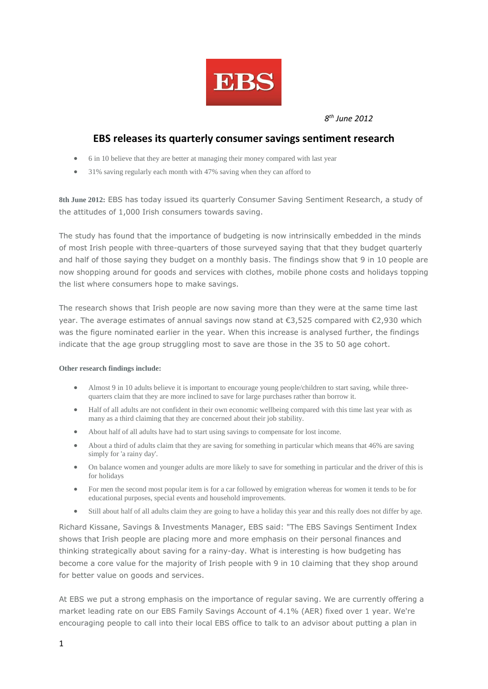

*8 th June 2012*

## **EBS releases its quarterly consumer savings sentiment research**

- 6 in 10 believe that they are better at managing their money compared with last year
- 31% saving regularly each month with 47% saving when they can afford to

**8th June 2012:** EBS has today issued its quarterly Consumer Saving Sentiment Research, a study of the attitudes of 1,000 Irish consumers towards saving.

The study has found that the importance of budgeting is now intrinsically embedded in the minds of most Irish people with three-quarters of those surveyed saying that that they budget quarterly and half of those saying they budget on a monthly basis. The findings show that 9 in 10 people are now shopping around for goods and services with clothes, mobile phone costs and holidays topping the list where consumers hope to make savings.

The research shows that Irish people are now saving more than they were at the same time last year. The average estimates of annual savings now stand at €3,525 compared with €2,930 which was the figure nominated earlier in the year. When this increase is analysed further, the findings indicate that the age group struggling most to save are those in the 35 to 50 age cohort.

## **Other research findings include:**

- Almost 9 in 10 adults believe it is important to encourage young people/children to start saving, while threequarters claim that they are more inclined to save for large purchases rather than borrow it.
- Half of all adults are not confident in their own economic wellbeing compared with this time last year with as many as a third claiming that they are concerned about their job stability.
- About half of all adults have had to start using savings to compensate for lost income.
- About a third of adults claim that they are saving for something in particular which means that 46% are saving simply for 'a rainy day'.
- On balance women and younger adults are more likely to save for something in particular and the driver of this is for holidays
- For men the second most popular item is for a car followed by emigration whereas for women it tends to be for educational purposes, special events and household improvements.
- Still about half of all adults claim they are going to have a holiday this year and this really does not differ by age.

Richard Kissane, Savings & Investments Manager, EBS said: "The EBS Savings Sentiment Index shows that Irish people are placing more and more emphasis on their personal finances and thinking strategically about saving for a rainy-day. What is interesting is how budgeting has become a core value for the majority of Irish people with 9 in 10 claiming that they shop around for better value on goods and services.

At EBS we put a strong emphasis on the importance of regular saving. We are currently offering a market leading rate on our EBS Family Savings Account of 4.1% (AER) fixed over 1 year. We're encouraging people to call into their local EBS office to talk to an advisor about putting a plan in